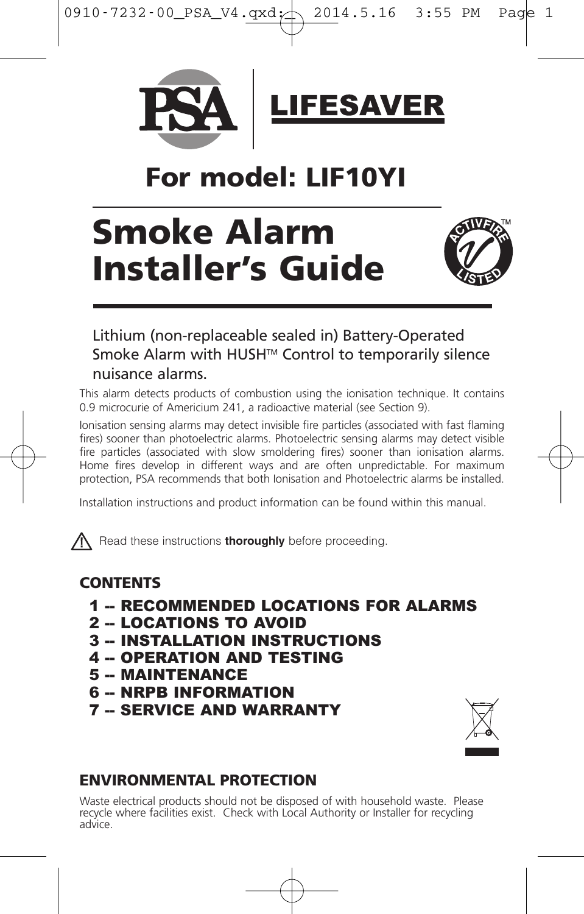



## **For model: LIF10YI**

# **Smoke Alarm Installer's Guide**



## Lithium (non-replaceable sealed in) Battery-Operated Smoke Alarm with HUSH™ Control to temporarily silence nuisance alarms.

This alarm detects products of combustion using the ionisation technique. It contains 0.9 microcurie of Americium 241, a radioactive material (see Section 9).

Ionisation sensing alarms may detect invisible fire particles (associated with fast flaming fires) sooner than photoelectric alarms. Photoelectric sensing alarms may detect visible fire particles (associated with slow smoldering fires) sooner than ionisation alarms. Home fires develop in different ways and are often unpredictable. For maximum protection, PSA recommends that both Ionisation and Photoelectric alarms be installed.

Installation instructions and product information can be found within this manual.

**A** Read these instructions **thoroughly** before proceeding.

## **CONTENTS**

- 1 -- RECOMMENDED LOCATIONS FOR ALARMS
- 2 -- LOCATIONS TO AVOID
- 3 -- INSTALLATION INSTRUCTIONS
- 4 -- OPERATION AND TESTING
- 5 -- MAINTENANCE
- 6 -- NRPB INFORMATION
- **7 -- SERVICE AND WARRANTY**



## **ENVIRONMENTAL PROTECTION**

Waste electrical products should not be disposed of with household waste. Please<br>recycle where facilities exist. Check with Local Authority or Installer for recycling<br>advice.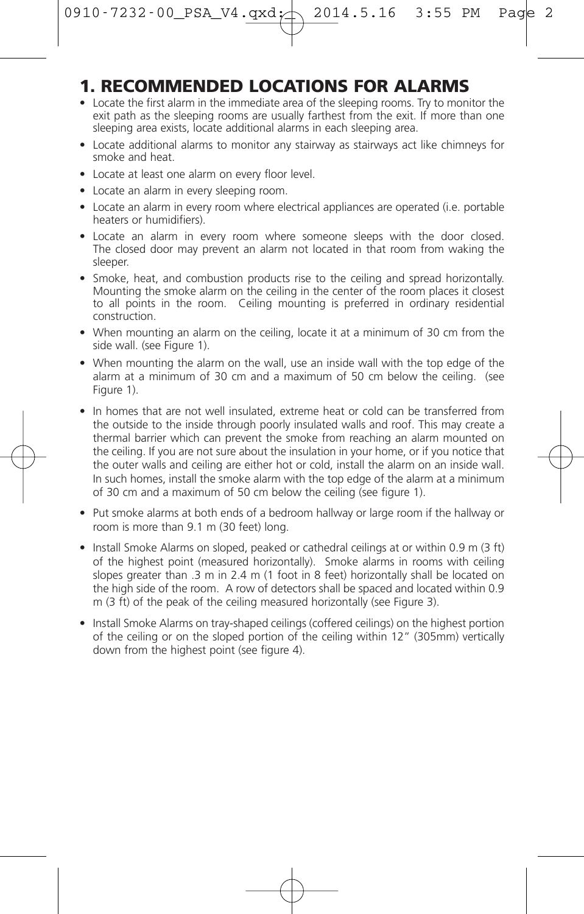0910-7232-00\_PSA\_V4.qxd:  $\triangle$  2014.5.16 3:55 PM Pac

## **1. RECOMMENDED LOCATIONS FOR ALARMS**

- Locate the first alarm in the immediate area of the sleeping rooms. Try to monitor the exit path as the sleeping rooms are usually farthest from the exit. If more than one sleeping area exists, locate additional alarms in each sleeping area.
- Locate additional alarms to monitor any stairway as stairways act like chimneys for smoke and heat.
- Locate at least one alarm on every floor level.
- Locate an alarm in every sleeping room.
- Locate an alarm in every room where electrical appliances are operated (i.e. portable heaters or humidifiers).
- Locate an alarm in every room where someone sleeps with the door closed. The closed door may prevent an alarm not located in that room from waking the sleeper.
- Smoke, heat, and combustion products rise to the ceiling and spread horizontally. Mounting the smoke alarm on the ceiling in the center of the room places it closest to all points in the room. Ceiling mounting is preferred in ordinary residential construction.
- When mounting an alarm on the ceiling, locate it at a minimum of 30 cm from the side wall. (see Figure 1).
- When mounting the alarm on the wall, use an inside wall with the top edge of the alarm at a minimum of 30 cm and a maximum of 50 cm below the ceiling. (see Figure 1).
- In homes that are not well insulated, extreme heat or cold can be transferred from the outside to the inside through poorly insulated walls and roof. This may create a thermal barrier which can prevent the smoke from reaching an alarm mounted on the ceiling. If you are not sure about the insulation in your home, or if you notice that the outer walls and ceiling are either hot or cold, install the alarm on an inside wall. In such homes, install the smoke alarm with the top edge of the alarm at a minimum of 30 cm and a maximum of 50 cm below the ceiling (see figure 1).
- Put smoke alarms at both ends of a bedroom hallway or large room if the hallway or room is more than 9.1 m (30 feet) long.
- Install Smoke Alarms on sloped, peaked or cathedral ceilings at or within 0.9 m (3 ft) of the highest point (measured horizontally). Smoke alarms in rooms with ceiling slopes greater than .3 m in 2.4 m (1 foot in 8 feet) horizontally shall be located on the high side of the room. A row of detectors shall be spaced and located within 0.9 m (3 ft) of the peak of the ceiling measured horizontally (see Figure 3).
- Install Smoke Alarms on tray-shaped ceilings (coffered ceilings) on the highest portion of the ceiling or on the sloped portion of the ceiling within 12" (305mm) vertically down from the highest point (see figure 4).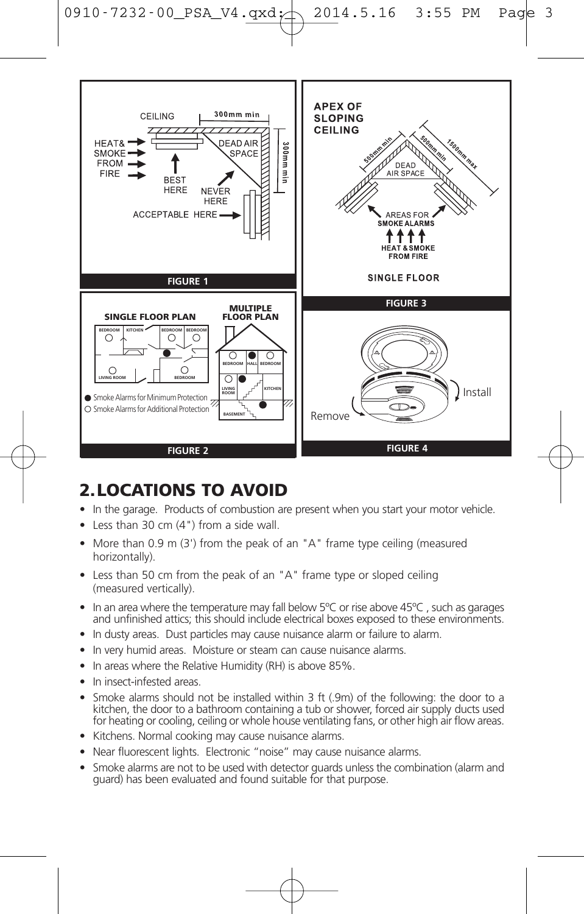



## **2.LOCATIONS TO AVOID**

- In the garage. Products of combustion are present when you start your motor vehicle.
- Less than 30 cm (4") from a side wall.
- More than 0.9 m (3') from the peak of an "A" frame type ceiling (measured horizontally).
- Less than 50 cm from the peak of an "A" frame type or sloped ceiling (measured vertically).
- In an area where the temperature may fall below 5°C or rise above 45°C, such as garages and unfinished attics; this should include electrical boxes exposed to these environments.
- In dusty areas. Dust particles may cause nuisance alarm or failure to alarm.
- In very humid areas. Moisture or steam can cause nuisance alarms.
- In areas where the Relative Humidity (RH) is above 85%.
- In insect-infested areas.
- Smoke alarms should not be installed within 3 ft (.9m) of the following: the door to a kitchen, the door to a bathroom containing a tub or shower, forced air supply ducts used for heating or cooling, ceiling or whole house ventilating fans, or other high air flow areas.
- Kitchens. Normal cooking may cause nuisance alarms.
- Near fluorescent lights. Electronic "noise" may cause nuisance alarms.
- Smoke alarms are not to be used with detector guards unless the combination (alarm and guard) has been evaluated and found suitable for that purpose.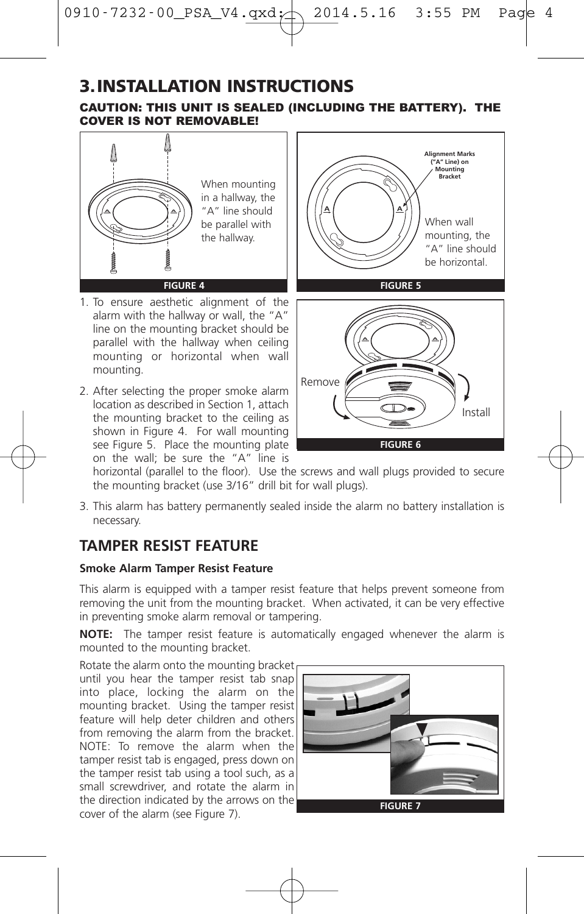## **3.INSTALLATION INSTRUCTIONS**

CAUTION: THIS UNIT IS SEALED (INCLUDING THE BATTERY). THE COVER IS NOT REMOVABLE!

![](_page_3_Picture_3.jpeg)

- 1. To ensure aesthetic alignment of the alarm with the hallway or wall, the "A" line on the mounting bracket should be parallel with the hallway when ceiling mounting or horizontal when wall mounting.
- 2. After selecting the proper smoke alarm location as described in Section 1, attach the mounting bracket to the ceiling as shown in Figure 4. For wall mounting see Figure 5. Place the mounting plate on the wall; be sure the "A" line is

![](_page_3_Figure_6.jpeg)

**FIGURE 6**

horizontal (parallel to the floor). Use the screws and wall plugs provided to secure the mounting bracket (use 3/16" drill bit for wall plugs).

3. This alarm has battery permanently sealed inside the alarm no battery installation is necessary.

## **TAMPER RESIST FEATURE**

#### **Smoke Alarm Tamper Resist Feature**

This alarm is equipped with a tamper resist feature that helps prevent someone from removing the unit from the mounting bracket. When activated, it can be very effective in preventing smoke alarm removal or tampering.

**NOTE:** The tamper resist feature is automatically engaged whenever the alarm is mounted to the mounting bracket.

Rotate the alarm onto the mounting bracket until you hear the tamper resist tab snap into place, locking the alarm on the mounting bracket. Using the tamper resist feature will help deter children and others from removing the alarm from the bracket. NOTE: To remove the alarm when the tamper resist tab is engaged, press down on the tamper resist tab using a tool such, as a small screwdriver, and rotate the alarm in the direction indicated by the arrows on the cover of the alarm (see Figure 7). **FIGURE <sup>7</sup>**

![](_page_3_Figure_14.jpeg)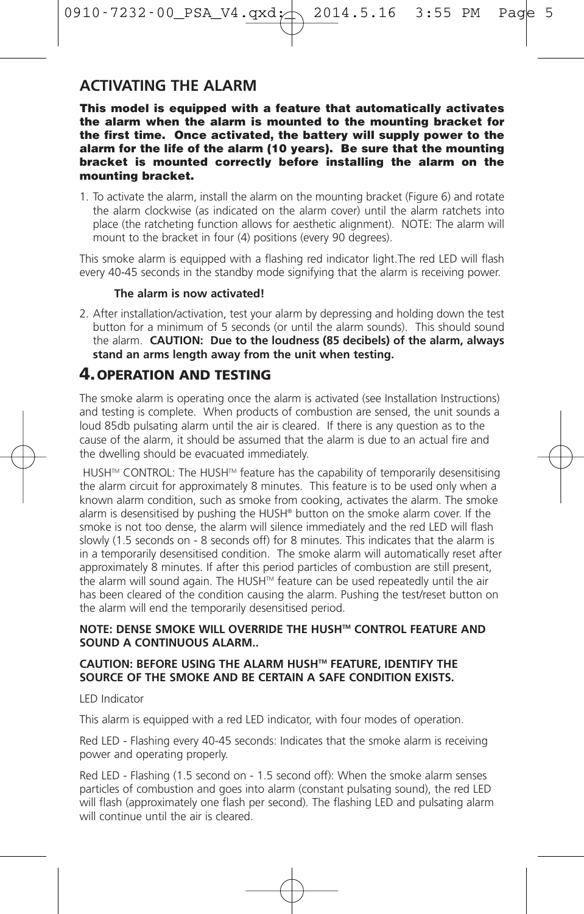0910-7232-00\_PSA\_V4.qxd:  $\triangle$  2014.5.16 3:55 PM Pag

## **ACTIVATING THE ALARM**

This model is equipped with a feature that automatically activates the alarm when the alarm is mounted to the mounting bracket for the first time. Once activated, the battery will supply power to the alarm for the life of the alarm (10 years). Be sure that the mounting bracket is mounted correctly before installing the alarm on the mounting bracket.

1. To activate the alarm, install the alarm on the mounting bracket (Figure 6) and rotate the alarm clockwise (as indicated on the alarm cover) until the alarm ratchets into place (the ratcheting function allows for aesthetic alignment). NOTE: The alarm will mount to the bracket in four (4) positions (every 90 degrees).

This smoke alarm is equipped with a flashing red indicator light.The red LED will flash every 40-45 seconds in the standby mode signifying that the alarm is receiving power.

#### **The alarm is now activated!**

2. After installation/activation, test your alarm by depressing and holding down the test button for a minimum of 5 seconds (or until the alarm sounds). This should sound the alarm. **CAUTION: Due to the loudness (85 decibels) of the alarm, always stand an arms length away from the unit when testing.**

## **4.OPERATION AND TESTING**

The smoke alarm is operating once the alarm is activated (see Installation Instructions) and testing is complete. When products of combustion are sensed, the unit sounds a loud 85db pulsating alarm until the air is cleared. If there is any question as to the cause of the alarm, it should be assumed that the alarm is due to an actual fire and the dwelling should be evacuated immediately.

HUSH™ CONTROL: The HUSH™ feature has the capability of temporarily desensitising the alarm circuit for approximately 8 minutes. This feature is to be used only when a known alarm condition, such as smoke from cooking, activates the alarm. The smoke alarm is desensitised by pushing the HUSH® button on the smoke alarm cover. If the smoke is not too dense, the alarm will silence immediately and the red LED will flash slowly (1.5 seconds on - 8 seconds off) for 8 minutes. This indicates that the alarm is in a temporarily desensitised condition. The smoke alarm will automatically reset after approximately 8 minutes. If after this period particles of combustion are still present, the alarm will sound again. The HUSH™ feature can be used repeatedly until the air has been cleared of the condition causing the alarm. Pushing the test/reset button on the alarm will end the temporarily desensitised period.

#### **NOTE: DENSE SMOKE WILL OVERRIDE THE HUSHTM CONTROL FEATURE AND SOUND A CONTINUOUS ALARM..**

#### **CAUTION: BEFORE USING THE ALARM HUSHTM FEATURE, IDENTIFY THE SOURCE OF THE SMOKE AND BE CERTAIN A SAFE CONDITION EXISTS.**

LED Indicator

This alarm is equipped with a red LED indicator, with four modes of operation.

Red LED - Flashing every 40-45 seconds: Indicates that the smoke alarm is receiving power and operating properly.

Red LED - Flashing (1.5 second on - 1.5 second off): When the smoke alarm senses particles of combustion and goes into alarm (constant pulsating sound), the red LED will flash (approximately one flash per second). The flashing LED and pulsating alarm will continue until the air is cleared.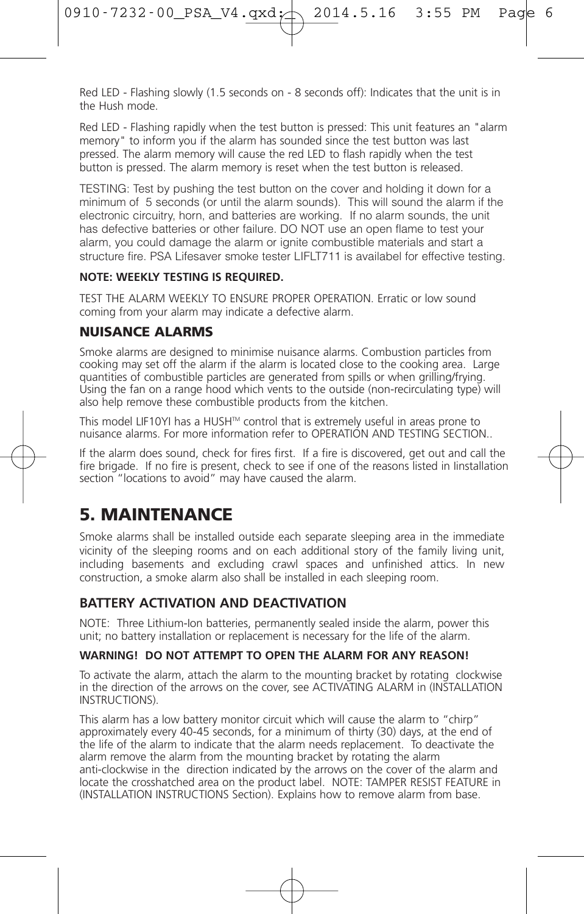Red LED - Flashing slowly (1.5 seconds on - 8 seconds off): Indicates that the unit is in the Hush mode.

Red LED - Flashing rapidly when the test button is pressed: This unit features an "alarm memory" to inform you if the alarm has sounded since the test button was last pressed. The alarm memory will cause the red LED to flash rapidly when the test button is pressed. The alarm memory is reset when the test button is released.

TESTING: Test by pushing the test button on the cover and holding it down for a minimum of 5 seconds (or until the alarm sounds). This will sound the alarm if the electronic circuitry, horn, and batteries are working. If no alarm sounds, the unit has defective batteries or other failure. DO NOT use an open flame to test your alarm, you could damage the alarm or ignite combustible materials and start a structure fire. PSA Lifesaver smoke tester LIFLT711 is availabel for effective testing.

#### **NOTE: WEEKLY TESTING IS REQUIRED.**

TEST THE ALARM WEEKLY TO ENSURE PROPER OPERATION. Erratic or low sound coming from your alarm may indicate a defective alarm.

#### **NUISANCE ALARMS**

Smoke alarms are designed to minimise nuisance alarms. Combustion particles from cooking may set off the alarm if the alarm is located close to the cooking area. Large quantities of combustible particles are generated from spills or when grilling/frying. Using the fan on a range hood which vents to the outside (non-recirculating type) will also help remove these combustible products from the kitchen.

This model LIF10YI has a HUSH™ control that is extremely useful in areas prone to nuisance alarms. For more information refer to OPERATION AND TESTING SECTION..

If the alarm does sound, check for fires first. If a fire is discovered, get out and call the fire brigade. If no fire is present, check to see if one of the reasons listed in Iinstallation section "locations to avoid" may have caused the alarm.

## **5. MAINTENANCE**

Smoke alarms shall be installed outside each separate sleeping area in the immediate vicinity of the sleeping rooms and on each additional story of the family living unit, including basements and excluding crawl spaces and unfinished attics. In new construction, a smoke alarm also shall be installed in each sleeping room.

#### **BATTERY ACTIVATION AND DEACTIVATION**

NOTE: Three Lithium-Ion batteries, permanently sealed inside the alarm, power this unit; no battery installation or replacement is necessary for the life of the alarm.

#### **WARNING! DO NOT ATTEMPT TO OPEN THE ALARM FOR ANY REASON!**

To activate the alarm, attach the alarm to the mounting bracket by rotating clockwise in the direction of the arrows on the cover, see ACTIVATING ALARM in (INSTALLATION INSTRUCTIONS).

This alarm has a low battery monitor circuit which will cause the alarm to "chirp" approximately every 40-45 seconds, for a minimum of thirty (30) days, at the end of the life of the alarm to indicate that the alarm needs replacement. To deactivate the alarm remove the alarm from the mounting bracket by rotating the alarm anti-clockwise in the direction indicated by the arrows on the cover of the alarm and locate the crosshatched area on the product label. NOTE: TAMPER RESIST FEATURE in (INSTALLATION INSTRUCTIONS Section). Explains how to remove alarm from base.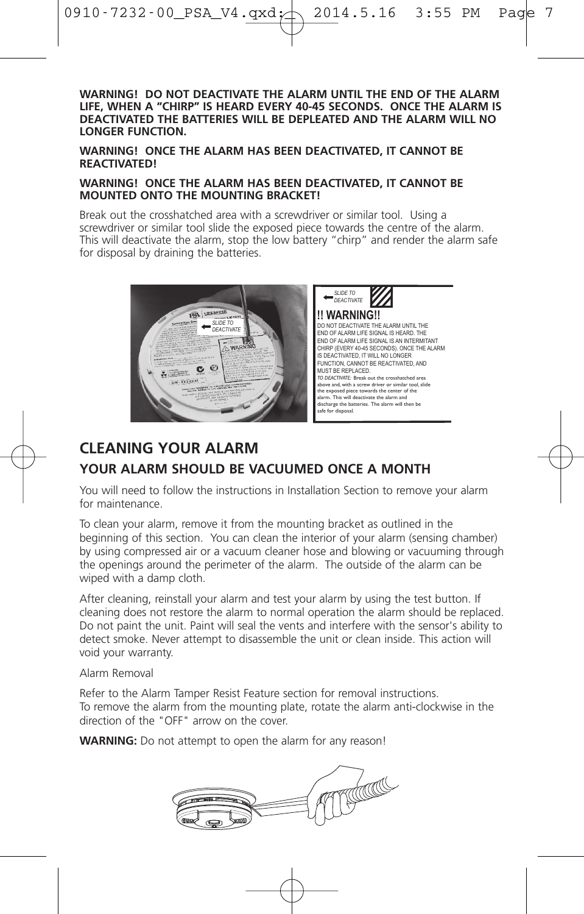**WARNING! DO NOT DEACTIVATE THE ALARM UNTIL THE END OF THE ALARM LIFE, WHEN A "CHIRP" IS HEARD EVERY 40-45 SECONDS. ONCE THE ALARM IS DEACTIVATED THE BATTERIES WILL BE DEPLEATED AND THE ALARM WILL NO LONGER FUNCTION.**

**WARNING! ONCE THE ALARM HAS BEEN DEACTIVATED, IT CANNOT BE REACTIVATED!**

#### **WARNING! ONCE THE ALARM HAS BEEN DEACTIVATED, IT CANNOT BE MOUNTED ONTO THE MOUNTING BRACKET!**

Break out the crosshatched area with a screwdriver or similar tool. Using a screwdriver or similar tool slide the exposed piece towards the centre of the alarm. This will deactivate the alarm, stop the low battery "chirp" and render the alarm safe for disposal by draining the batteries.

![](_page_6_Picture_5.jpeg)

![](_page_6_Picture_6.jpeg)

## **CLEANING YOUR ALARM YOUR ALARM SHOULD BE VACUUMED ONCE A MONTH**

You will need to follow the instructions in Installation Section to remove your alarm for maintenance.

To clean your alarm, remove it from the mounting bracket as outlined in the beginning of this section. You can clean the interior of your alarm (sensing chamber) by using compressed air or a vacuum cleaner hose and blowing or vacuuming through the openings around the perimeter of the alarm. The outside of the alarm can be wiped with a damp cloth.

After cleaning, reinstall your alarm and test your alarm by using the test button. If cleaning does not restore the alarm to normal operation the alarm should be replaced. Do not paint the unit. Paint will seal the vents and interfere with the sensor's ability to detect smoke. Never attempt to disassemble the unit or clean inside. This action will void your warranty.

#### Alarm Removal

Refer to the Alarm Tamper Resist Feature section for removal instructions. To remove the alarm from the mounting plate, rotate the alarm anti-clockwise in the direction of the "OFF" arrow on the cover.

**WARNING:** Do not attempt to open the alarm for any reason!

![](_page_6_Picture_14.jpeg)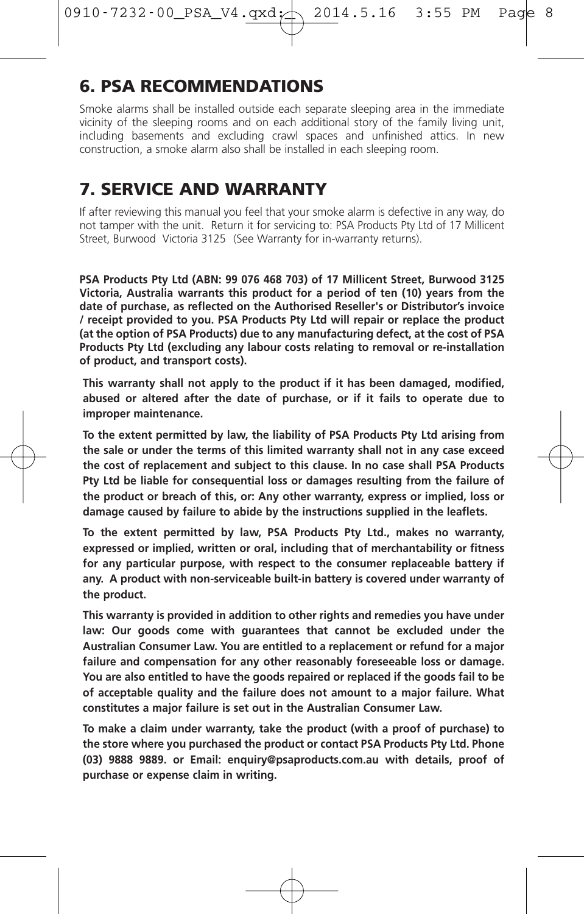## **6. PSA RECOMMENDATIONS**

Smoke alarms shall be installed outside each separate sleeping area in the immediate vicinity of the sleeping rooms and on each additional story of the family living unit, including basements and excluding crawl spaces and unfinished attics. In new construction, a smoke alarm also shall be installed in each sleeping room.

## **7. SERVICE AND WARRANTY**

If after reviewing this manual you feel that your smoke alarm is defective in any way, do not tamper with the unit. Return it for servicing to: PSA Products Pty Ltd of 17 Millicent Street, Burwood Victoria 3125 (See Warranty for in-warranty returns).

**PSA Products Pty Ltd (ABN: 99 076 468 703) of 17 Millicent Street, Burwood 3125 Victoria, Australia warrants this product for a period of ten (10) years from the date of purchase, as reflected on the Authorised Reseller's or Distributor's invoice / receipt provided to you. PSA Products Pty Ltd will repair or replace the product (at the option of PSA Products) due to any manufacturing defect, at the cost of PSA Products Pty Ltd (excluding any labour costs relating to removal or re-installation of product, and transport costs).**

**This warranty shall not apply to the product if it has been damaged, modified, abused or altered after the date of purchase, or if it fails to operate due to improper maintenance.**

**To the extent permitted by law, the liability of PSA Products Pty Ltd arising from the sale or under the terms of this limited warranty shall not in any case exceed the cost of replacement and subject to this clause. In no case shall PSA Products Pty Ltd be liable for consequential loss or damages resulting from the failure of the product or breach of this, or: Any other warranty, express or implied, loss or damage caused by failure to abide by the instructions supplied in the leaflets.**

**To the extent permitted by law, PSA Products Pty Ltd., makes no warranty, expressed or implied, written or oral, including that of merchantability or fitness for any particular purpose, with respect to the consumer replaceable battery if any. A product with non-serviceable built-in battery is covered under warranty of the product.**

**This warranty is provided in addition to other rights and remedies you have under law: Our goods come with guarantees that cannot be excluded under the Australian Consumer Law. You are entitled to a replacement or refund for a major failure and compensation for any other reasonably foreseeable loss or damage. You are also entitled to have the goods repaired or replaced if the goods fail to be of acceptable quality and the failure does not amount to a major failure. What constitutes a major failure is set out in the Australian Consumer Law.**

**To make a claim under warranty, take the product (with a proof of purchase) to the store where you purchased the product or contact PSA Products Pty Ltd. Phone (03) 9888 9889. or Email: enquiry@psaproducts.com.au with details, proof of purchase or expense claim in writing.**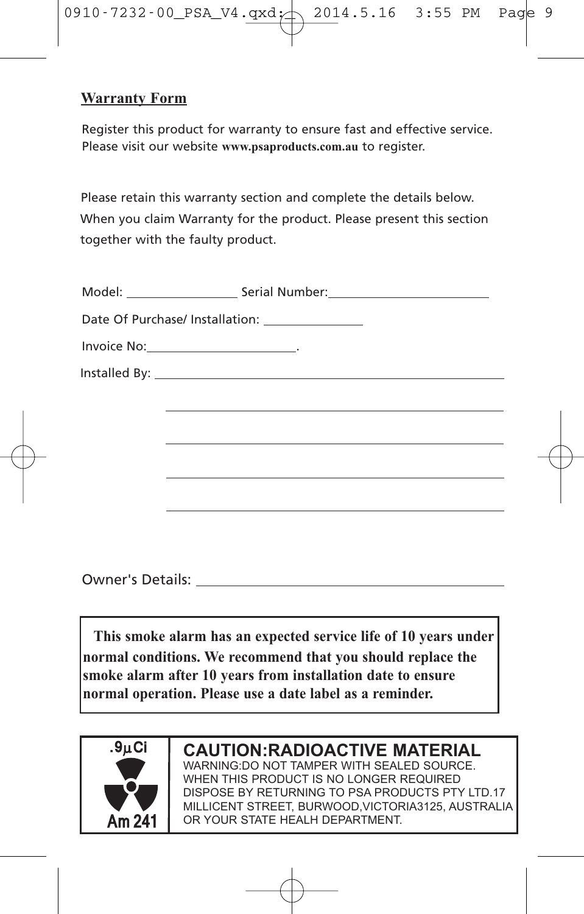![](_page_8_Picture_0.jpeg)

## **Warranty Form**

Register this product for warranty to ensure fast and effective service. Please visit our website **www.psaproducts.com.au** to register.

Please retain this warranty section and complete the details below. When you claim Warranty for the product. Please present this section together with the faulty product.

| Model:                                                                                                                                                                                                                         | Serial Number: |
|--------------------------------------------------------------------------------------------------------------------------------------------------------------------------------------------------------------------------------|----------------|
|                                                                                                                                                                                                                                |                |
| Invoice No: The contract of the contract of the contract of the contract of the contract of the contract of the contract of the contract of the contract of the contract of the contract of the contract of the contract of th |                |
| Installed By: _                                                                                                                                                                                                                |                |

Owner's Details:

**This smoke alarm has an expected service life of 10 years under normal conditions. We recommend that you should replace the smoke alarm after 10 years from installation date to ensure normal operation. Please use a date label as a reminder.**

![](_page_8_Picture_7.jpeg)

## **CAUTION:RADIOACTIVE MATERIAL**

WARNING:DO NOT TAMPER WITH SEALED SOURCE. WHEN THIS PRODUCT IS NO LONGER REQUIRED DISPOSE BY RETURNING TO PSA PRODUCTS PTY LTD.17 MILLICENT STREET, BURWOOD,VICTORIA3125, AUSTRALIA OR YOUR STATE HEALH DEPARTMENT.